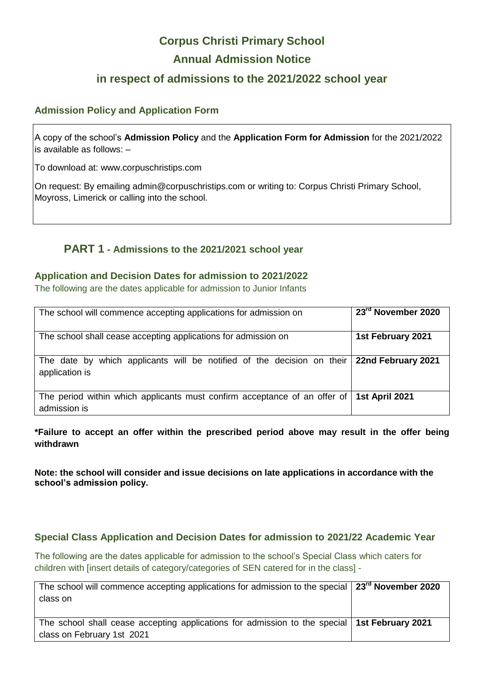# **Corpus Christi Primary School Annual Admission Notice**

## **in respect of admissions to the 2021/2022 school year**

#### **Admission Policy and Application Form**

A copy of the school's **Admission Policy** and the **Application Form for Admission** for the 2021/2022 is available as follows: –

To download at: www.corpuschristips.com

On request: By emailing admin@corpuschristips.com or writing to: Corpus Christi Primary School, Moyross, Limerick or calling into the school.

## **PART 1 - Admissions to the 2021/2021 school year**

#### **Application and Decision Dates for admission to 2021/2022**

The following are the dates applicable for admission to Junior Infants

| The school will commence accepting applications for admission on                                         | 23rd November 2020 |
|----------------------------------------------------------------------------------------------------------|--------------------|
| The school shall cease accepting applications for admission on                                           | 1st February 2021  |
| The date by which applicants will be notified of the decision on their<br>application is                 | 22nd February 2021 |
| The period within which applicants must confirm acceptance of an offer of 1st April 2021<br>admission is |                    |

**\*Failure to accept an offer within the prescribed period above may result in the offer being withdrawn**

**Note: the school will consider and issue decisions on late applications in accordance with the school's admission policy.**

#### **Special Class Application and Decision Dates for admission to 2021/22 Academic Year**

The following are the dates applicable for admission to the school's Special Class which caters for children with [insert details of category/categories of SEN catered for in the class] -

| The school will commence accepting applications for admission to the special $\mid$ 23 <sup>rd</sup> November 2020<br>class on |  |
|--------------------------------------------------------------------------------------------------------------------------------|--|
| The school shall cease accepting applications for admission to the special   1st February 2021<br>class on February 1st 2021   |  |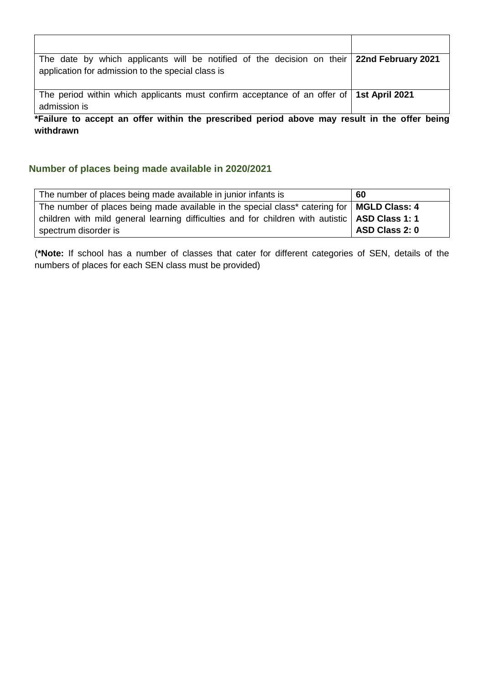| The date by which applicants will be notified of the decision on their 22nd February 2021  |  |
|--------------------------------------------------------------------------------------------|--|
| application for admission to the special class is                                          |  |
|                                                                                            |  |
| The period within which applicants must confirm acceptance of an offer of   1st April 2021 |  |
| admission is                                                                               |  |

**\*Failure to accept an offer within the prescribed period above may result in the offer being withdrawn**

### **Number of places being made available in 2020/2021**

| The number of places being made available in junior infants is                                   | 60             |
|--------------------------------------------------------------------------------------------------|----------------|
| The number of places being made available in the special class* catering for   MGLD Class: 4     |                |
| children with mild general learning difficulties and for children with autistic   ASD Class 1: 1 |                |
| spectrum disorder is                                                                             | ASD Class 2: 0 |

(**\*Note:** If school has a number of classes that cater for different categories of SEN, details of the numbers of places for each SEN class must be provided)